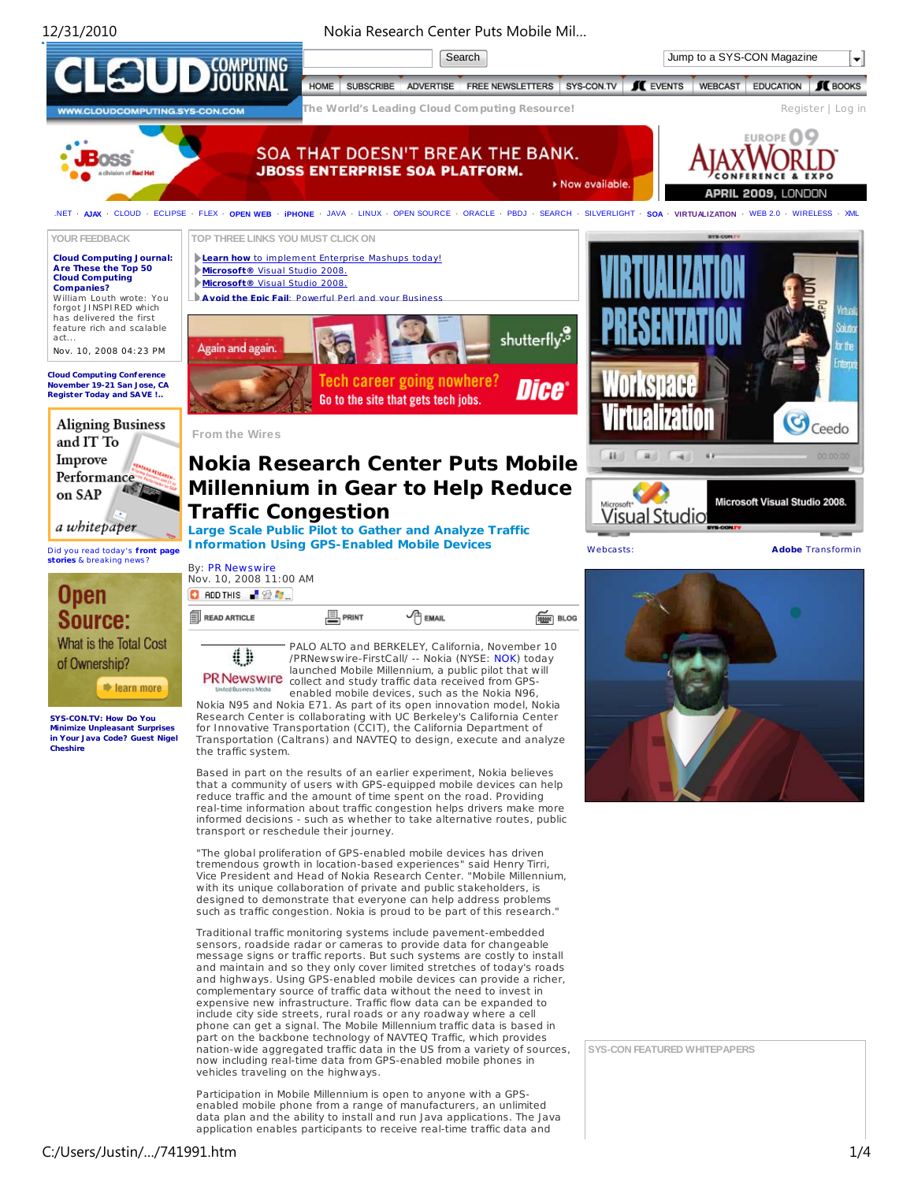

12/31/2010 Nokia Research Center Puts Mobile Mil…



Traditional traffic monitoring systems include pavement-embedded sensors, roadside radar or cameras to provide data for changeable message signs or traffic reports. But such systems are costly to install and maintain and so they only cover limited stretches of today's roads and highways. Using GPS-enabled mobile devices can provide a richer, complementary source of traffic data without the need to invest in expensive new infrastructure. Traffic flow data can be expanded to include city side streets, rural roads or any roadway where a cell phone can get a signal. The Mobile Millennium traffic data is based in part on the backbone technology of NAVTEQ Traffic, which provides nation-wide aggregated traffic data in the US from a variety of sources, now including real-time data from GPS-enabled mobile phones in

Participation in Mobile Millennium is open to anyone with a GPSenabled mobile phone from a range of manufacturers, an unlimited data plan and the ability to install and run Java applications. The Java application enables participants to receive real-time traffic data and

vehicles traveling on the highways.

**SYS-CON FEATURED WHITEPAPERS**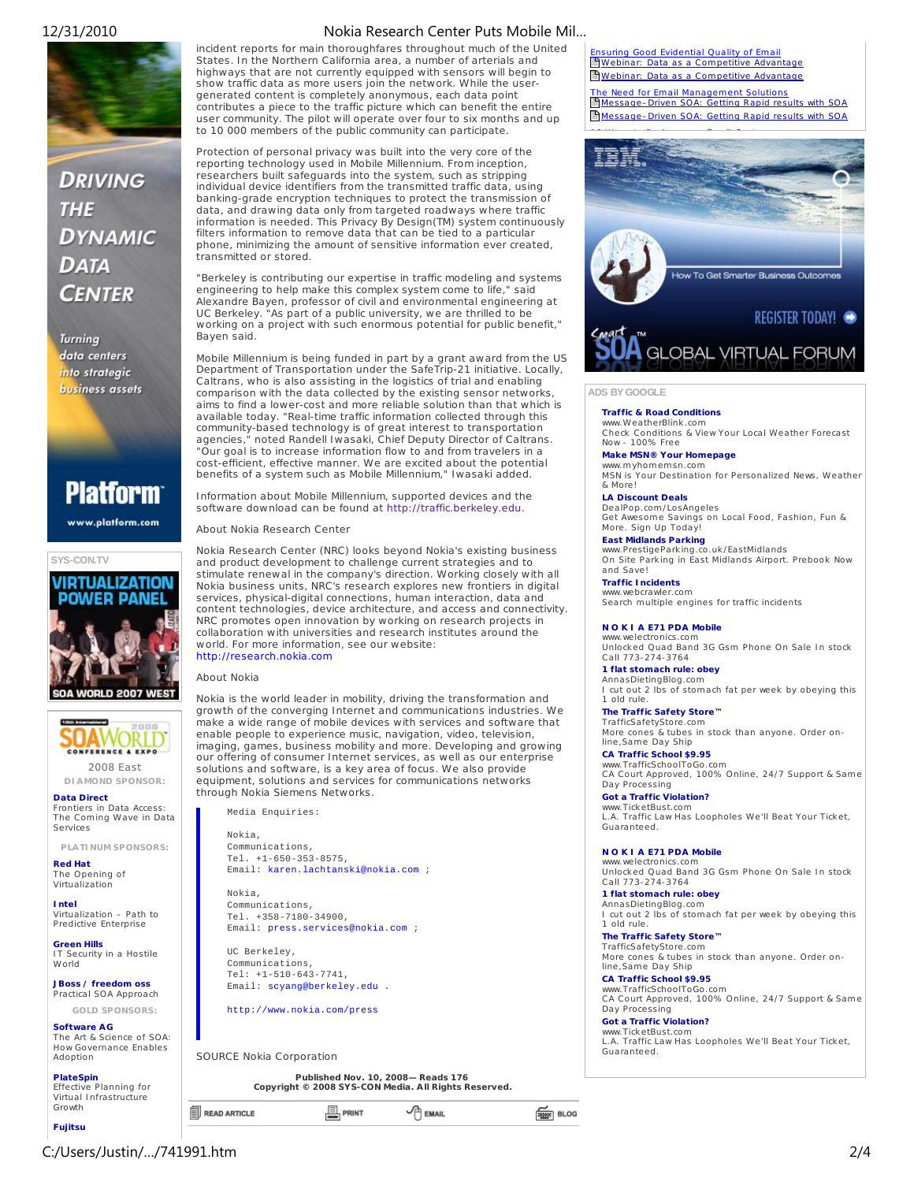

# **DRIVING**  $THE$ **DYNAMIC DATA CENTER**

**Turning** data centers into strategic business assets



www.platform.com

**SYS-CON.TV**





2008 East **DIAMOND SPONSOR:**

**Data Direct**<br>Frontiers in Data Access: The Coming Wave in Data .<br>Services

**PLATINUM SPONSORS:**

**Red Hat** The Opening of Virtualiza tion

**Intel** Virtualiza tion – Pa th to Predictive Enterprise

**Green Hills** IT Security in a Hostile World

**JBoss / freedom oss** Practical SOA Approach

**GOLD SPONSORS: Software AG**

The Art & Science of SOA: How Governance Enables Adoption

**PlateSpin**

Effective Planning for Virtual Infrastructure Growth

**Fujitsu**

# 12/31/2010 Nokia Research Center Puts Mobile Mil…

incident reports for main thoroughfares throughout much of the United States. In the Northern California area, a number of arterials and highways that are not currently equipped with sensors will begin to show traffic data as more users join the network. While the usergenerated content is completely anonymous, each data point contributes a piece to the traffic picture which can benefit the entire user community. The pilot will operate over four to six months and up to 10 000 members of the public community can participate.

Protection of personal privacy was built into the very core of the reporting technology used in Mobile Millennium. From inception, researchers built safeguards into the system, such as stripping individual device identifiers from the transmitted traffic data, using banking-grade encryption techniques to protect the transmission of data, and drawing data only from targeted roadways where traffic information is needed. This Privacy By Design(TM) system continuously filters information to remove data that can be tied to a particular phone, minimizing the amount of sensitive information ever created, transmitted or stored.

"Berkeley is contributing our expertise in traffic modeling and systems engineering to help make this complex system come to life," said Alexandre Bayen, professor of civil and environmental engineering at UC Berkeley. "As part of a public university, we are thrilled to be working on a project with such enormous potential for public benefit," Bayen said.

Mobile Millennium is being funded in part by a grant award from the US Department of Transportation under the SafeTrip-21 initiative. Locally, Caltrans, who is also assisting in the logistics of trial and enabling comparison with the data collected by the existing sensor networks, aims to find a lower-cost and more reliable solution than that which is available today. "Real-time traffic information collected through this community-based technology is of great interest to transportation agencies," noted Randell Iwasaki, Chief Deputy Director of Caltrans. "Our goal is to increase information flow to and from travelers in a cost-efficient, effective manner. We are excited about the potential benefits of a system such as Mobile Millennium," Iwasaki added.

Information about Mobile Millennium, supported devices and the software download can be found at http://traffic.berkeley.edu.

About Nokia Research Center

Nokia Research Center (NRC) looks beyond Nokia's existing business and product development to challenge current strategies and to stimulate renewal in the company's direction. Working closely with all Nokia business units, NRC's research explores new frontiers in digital services, physical-digital connections, human interaction, data and content technologies, device architecture, and access and connectivity. NRC promotes open innovation by working on research projects in collaboration with universities and research institutes around the world. For more information, see our website: http://research.nokia.com

## About Nokia

Nokia is the world leader in mobility, driving the transformation and growth of the converging Internet and communications industries. We make a wide range of mobile devices with services and software that enable people to experience music, navigation, video, television, imaging, games, business mobility and more. Developing and growing our offering of consumer Internet services, as well as our enterprise solutions and software, is a key area of focus. We also provide equipment, solutions and services for communications networks through Nokia Siemens Networks.

Media Enquiries:

 Nokia, Communications, Tel. +1-650-353-8575, Email: karen.lachtanski@nokia.com ;

 Nokia, Communications, Tel. +358-7180-34900, Email: press.services@nokia.com ;

 UC Berkeley, Communications, Tel: +1-510-643-7741, Email: scyang@berkeley.edu .

http://www.nokia.com/press

SOURCE Nokia Corporation

**E** READ ARTICLE

**Published Nov. 10, 2008— Reads 176 Copyright © 2008 SYS-CON Media. A ll Rights Reserved.**

 $\mathbf{B}_{\text{PRINT}}$ 

Ensuring Good Evidential Quality of Email<br>E Webinar: Data as a Competitive Advantage Webinar: Data as a Competitive Advantage

Need for Email Management Solutions **Message–Driven SOA: Getting Rapid results with SOA** Me ssage–Driven SOA: Ge tting Rapid re sults with SOA



**ADS BY GOOGLE**

### **Traffic & Road Conditions**

www.W ea therBlink .com Check Conditions & View Your Local Weather Forecast Now - 100% Free

**Make MSN® Your Homepage** www.m yhom em sn.com

MSN is Your Destination for Personalized News, Weather & More !

**LA Discount Deals** DealPop.com/LosAngeles

Ge t Awe som e Savings on Local Food, Fashion, Fun & More. Sign Up Today!

**East Midlands Parking**

www.PrestigeParking.co.uk/EastMidlands<br>On Site Parking in East Midlands Airport. Prebook Now and Save!

**Traffic Incidents** www.webcrawler.com

Search multiple engines for traffic incidents

#### **N O K I A E71 PDA Mobile** www.wele ctronics.com

Unlocked Quad Band 3G Gsm Phone On Sale In stock Call 773-274-3764

**1 flat stomach rule: obey**

AnnasDietingBlog.com<br>I cut out 2 lbs of stomach fat per week by obeying this 1 old rule .

**The Traffic Safety Store™**

TrafficSafetyStore.com<br>More cones & tubes in stock than anyone. Order online ,Same Day Ship

**CA Traffic School \$9.95** www.Tra fficSchoolToGo .com

CA Court Approved, 100% Online, 24/7 Support & Same<br>Day Processing **Got a Traffic Violation?**

www.Ticke tBust.com L.A. Traffic Law Has Loopholes We'll Beat Your Ticket, Guaranteed.

#### **N O K I A E71 PDA Mobile**

www.wele ctronics.com Unlocked Quad Band 3G Gsm Phone On Sale In stock Call 773-274-3764

**1 flat stomach rule: obey** AnnasDietingBlog.com<br>I cut out 2 lbs of stomach fat per week by obeying this

1 old rule . **The Traffic Safety Store™**

TrafficSafetyStore.com<br>More cones & tubes in stock than anyone. Order online ,Same Day Ship

**CA Traffic School \$9.95**<br>www.TrafficSchoolToGo.com

CA Court Approved, 100% Online, 24/7 Support & Same Day Processing

**Got a Traffic Violation?**

www.Ticke tBust.com L.A. Tra ffic Law Has Loophole s We'll Bea t Your Ticke t, Guaranteed.

 $\sqrt{f}$  EMAIL

**REARY** BLOG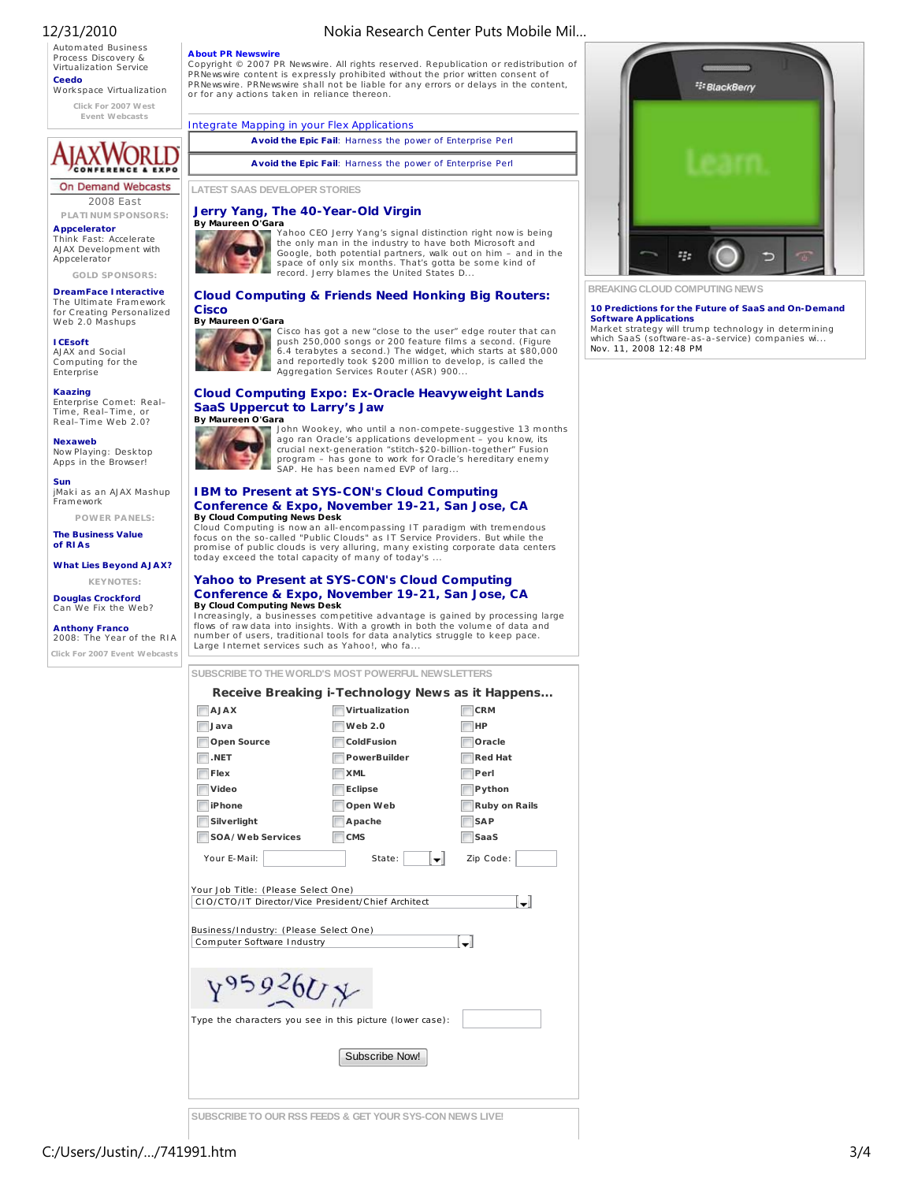# 12/31/2010

**Automated Business** Process Discovery & Virtualization Service **Ceedo** Workspace Virtualization

Click For 2007 West Event Webcasts

# AXWORLD

**On Demand Webcasts** 2008 East

PLATINUM SPONSORS: Appcelerator Think Fast: Accelerate<br>AJAX Development with Appcelerator

GOLD SPONSORS

**DreamFace Interactive** The Ultimate Framework<br>for Creating Personalized Web 2.0 Mashups

**ICEsoft** AJAX and Social Computing for the Enterprise

# **Kaazing**

Enterprise Comet: Real-Time, Real-Time, or<br>Real-Time Web 2.0?

**Nexaweb** Now Playing: Desktop<br>Apps in the Browser!

Sun jMaki as an AJAX Mashup Framework

POWER PANELS: **The Business Value** of RIAs

**What Lies Beyond AJAX?** KEVNOTES

**Douglas Crockford** Can We Fix the Web?

**Anthony Franco** 2008: The Year of the RIA

Click For 2007 Event Webcasts

# Nokia Research Center Puts Mobile Mil...

#### **About PR Newswire**

Copyright © 2007 PR Newswire. All rights reserved. Republication or redistribution of PRNewswire content is expressly prohibited without the prior written consent of PRNewswire. PRNewswire shall not be liable for any errors or delays in the content, or for any actions taken in reliance thereon.

**Integrate Mapping in your Flex Applications** 

Avoid the Epic Fail: Harness the power of Enterprise Perl

Avoid the Epic Fail: Harness the power of Enterprise Perl

**LATEST SAAS DEVELOPER STORIES** 

# Jerry Yang, The 40-Year-Old Virgin



Yahoo CEO Jerry Yang's signal distinction right now is being The only man in the industry to have both Microsoft and<br>Google, both potential partners, walk out on him – and in the<br>Google, both potential partners, walk out on him – and in the<br>space of only six months. That's gotta be record. Jerry blames the United States D...

#### **Cloud Computing & Friends Need Honking Big Routers:** Cisco By Maureen O'Gara



Cisco has got a new "close to the user" edge router that can push 250,000 songs or 200 feature films a second. (Figure 6.4 terabytes a second.) The widget, which starts at \$80,000 and reportedly took \$200 million to develop, is called the<br>Aggregation Services Router (ASR) 900...

# **Cloud Computing Expo: Ex-Oracle Heavyweight Lands** SaaS Uppercut to Larry's Jaw



...<br>John Wookey, who until a non-compete-suggestive 13 months ago ran Oracle's applications development - you know, its<br>crucial next-generation "stitch-\$20-billion-together" Fusion program – has gone to work for Oracle's hereditary enemy<br>SAP. He has been named EVP of larg...

#### IBM to Present at SYS-CON's Cloud Computing Conference & Expo, November 19-21, San Jose, CA By Cloud Computing News Desk

Cloud Computing is now an all-encompassing IT paradigm with tremendous focus on the so-called "Public Clouds" as IT Service Providers. But while the promise of public clouds is very alluring, many existing corporate data centers today exceed the total capacity of many of today's .

### **Yahoo to Present at SYS-CON's Cloud Computing** Conference & Expo, November 19-21, San Jose, CA By Cloud Computing News Desk

Increasingly, a businesses competitive advantage is gained by processing large flows of raw data into insights. With a growth in both the volume of data and number of users, traditional tools for data analytics struggle to keep pace. Large Internet services such as Yahoo!, who fa.

SUBSCRIBE TO THE WORLD'S MOST POWERFUL NEWSLETTERS

|                                                                                           | Receive Breaking i-Technology News as it Happens |                      |
|-------------------------------------------------------------------------------------------|--------------------------------------------------|----------------------|
| <b>AJAX</b>                                                                               | Virtualization                                   | <b>CRM</b>           |
| Java                                                                                      | Web 2.0                                          | HP                   |
| Open Source                                                                               | ColdFusion                                       | Oracle               |
| <b>NET</b>                                                                                | PowerBuilder                                     | <b>Red Hat</b>       |
| Flex                                                                                      | <b>XML</b>                                       | Perl                 |
| Video                                                                                     | <b>Eclipse</b>                                   | Python               |
| <b>iPhone</b>                                                                             | Open Web                                         | <b>Ruby on Rails</b> |
| Silverlight                                                                               | Apache                                           | <b>SAP</b>           |
| SOA/Web Services                                                                          | <b>CMS</b>                                       | SaaS                 |
| Your E-Mail:                                                                              | State:                                           | Zip Code:            |
| Your Job Title: (Please Select One)<br>CIO/CTO/IT Director/Vice President/Chief Architect |                                                  | ▾                    |
| Business/Industry: (Please Select One)<br>Computer Software Industry                      |                                                  | $\blacksquare$       |
| 95926UX                                                                                   |                                                  |                      |
| Type the characters you see in this picture (lower case):                                 |                                                  |                      |
|                                                                                           | Subscribe Now!                                   |                      |

<sup>22</sup> BlackBerry ą,

**BREAKING CLOUD COMPUTING NEWS** 

#### 10 Predictions for the Future of SaaS and On-Demand **Software Applications**

Market strategy will trump technology in determining<br>which SaaS (software-as-a-service) companies wi... Nov. 11, 2008 12:48 PM